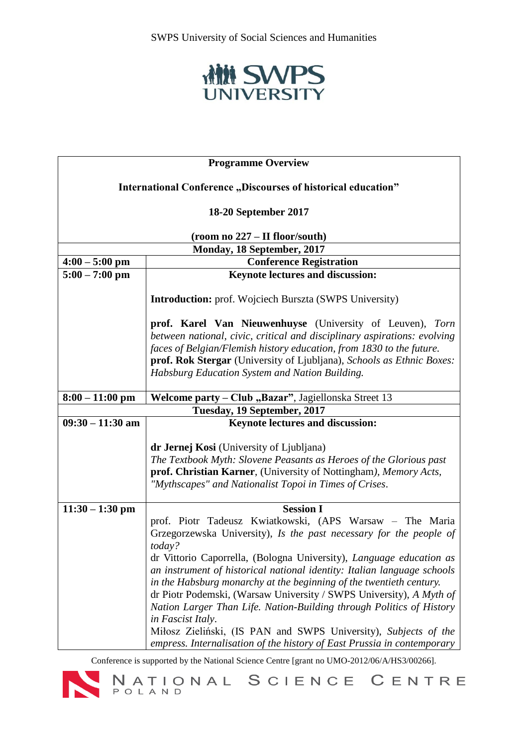

| <b>Programme Overview</b>                                     |                                                                                                                                                                                                                                                                                                                                                                                       |  |
|---------------------------------------------------------------|---------------------------------------------------------------------------------------------------------------------------------------------------------------------------------------------------------------------------------------------------------------------------------------------------------------------------------------------------------------------------------------|--|
| International Conference "Discourses of historical education" |                                                                                                                                                                                                                                                                                                                                                                                       |  |
| 18-20 September 2017                                          |                                                                                                                                                                                                                                                                                                                                                                                       |  |
| (room no 227 – II floor/south)                                |                                                                                                                                                                                                                                                                                                                                                                                       |  |
| Monday, 18 September, 2017                                    |                                                                                                                                                                                                                                                                                                                                                                                       |  |
| $4:00 - 5:00$ pm                                              | <b>Conference Registration</b>                                                                                                                                                                                                                                                                                                                                                        |  |
| $5:00 - 7:00$ pm                                              | <b>Keynote lectures and discussion:</b>                                                                                                                                                                                                                                                                                                                                               |  |
|                                                               | <b>Introduction:</b> prof. Wojciech Burszta (SWPS University)                                                                                                                                                                                                                                                                                                                         |  |
|                                                               | prof. Karel Van Nieuwenhuyse (University of Leuven), Torn<br>between national, civic, critical and disciplinary aspirations: evolving<br>faces of Belgian/Flemish history education, from 1830 to the future.<br>prof. Rok Stergar (University of Ljubljana), Schools as Ethnic Boxes:<br>Habsburg Education System and Nation Building.                                              |  |
| $8:00 - 11:00$ pm                                             | Welcome party - Club "Bazar", Jagiellonska Street 13                                                                                                                                                                                                                                                                                                                                  |  |
|                                                               | Tuesday, 19 September, 2017                                                                                                                                                                                                                                                                                                                                                           |  |
| $09:30 - 11:30$ am                                            | <b>Keynote lectures and discussion:</b>                                                                                                                                                                                                                                                                                                                                               |  |
|                                                               | dr Jernej Kosi (University of Ljubljana)<br>The Textbook Myth: Slovene Peasants as Heroes of the Glorious past<br>prof. Christian Karner, (University of Nottingham), Memory Acts,<br>"Mythscapes" and Nationalist Topoi in Times of Crises.                                                                                                                                          |  |
| $11:30 - 1:30$ pm                                             | <b>Session I</b>                                                                                                                                                                                                                                                                                                                                                                      |  |
|                                                               | prof. Piotr Tadeusz Kwiatkowski, (APS Warsaw - The Maria<br>Grzegorzewska University), Is the past necessary for the people of<br>today?<br>dr Vittorio Caporrella, (Bologna University), Language education as                                                                                                                                                                       |  |
|                                                               | an instrument of historical national identity: Italian language schools<br>in the Habsburg monarchy at the beginning of the twentieth century.<br>dr Piotr Podemski, (Warsaw University / SWPS University), A Myth of<br>Nation Larger Than Life. Nation-Building through Politics of History<br>in Fascist Italy.<br>Miłosz Zieliński, (IS PAN and SWPS University), Subjects of the |  |
|                                                               | empress. Internalisation of the history of East Prussia in contemporary                                                                                                                                                                                                                                                                                                               |  |

Conference is supported by the National Science Centre [grant no UMO-2012/06/A/HS3/00266].<br>
NATIONAL SCIENCE CENTRE

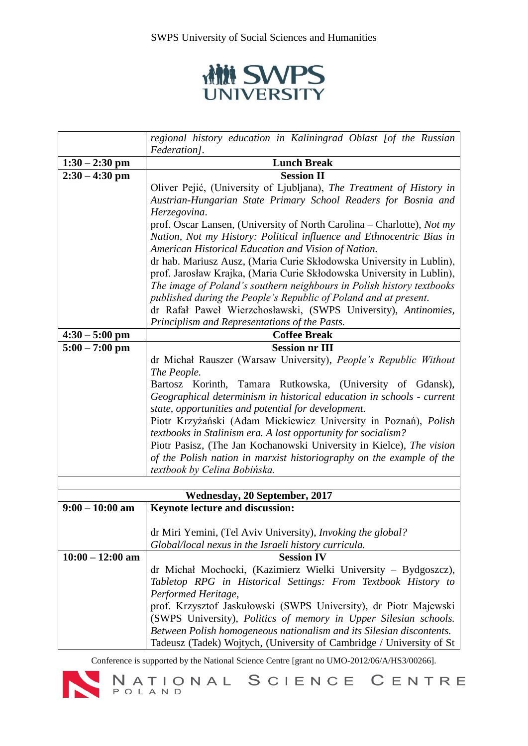

|                               | regional history education in Kaliningrad Oblast [of the Russian                                                                      |  |
|-------------------------------|---------------------------------------------------------------------------------------------------------------------------------------|--|
|                               | Federation].                                                                                                                          |  |
| $1:30 - 2:30$ pm              | <b>Lunch Break</b>                                                                                                                    |  |
| $2:30 - 4:30$ pm              | <b>Session II</b>                                                                                                                     |  |
|                               | Oliver Pejić, (University of Ljubljana), The Treatment of History in                                                                  |  |
|                               | Austrian-Hungarian State Primary School Readers for Bosnia and                                                                        |  |
|                               | Herzegovina.                                                                                                                          |  |
|                               | prof. Oscar Lansen, (University of North Carolina – Charlotte), Not my                                                                |  |
|                               | Nation, Not my History: Political influence and Ethnocentric Bias in                                                                  |  |
|                               | American Historical Education and Vision of Nation.                                                                                   |  |
|                               | dr hab. Mariusz Ausz, (Maria Curie Skłodowska University in Lublin),                                                                  |  |
|                               | prof. Jarosław Krajka, (Maria Curie Skłodowska University in Lublin),                                                                 |  |
|                               | The image of Poland's southern neighbours in Polish history textbooks                                                                 |  |
|                               | published during the People's Republic of Poland and at present.                                                                      |  |
|                               | dr Rafał Paweł Wierzchosławski, (SWPS University), Antinomies,                                                                        |  |
|                               | Principlism and Representations of the Pasts.                                                                                         |  |
| $4:30 - 5:00$ pm              | <b>Coffee Break</b>                                                                                                                   |  |
| $5:00 - 7:00$ pm              | <b>Session nr III</b>                                                                                                                 |  |
|                               | dr Michał Rauszer (Warsaw University), People's Republic Without                                                                      |  |
|                               | The People.                                                                                                                           |  |
|                               | Bartosz Korinth, Tamara Rutkowska, (University of Gdansk),                                                                            |  |
|                               | Geographical determinism in historical education in schools - current                                                                 |  |
|                               | state, opportunities and potential for development.                                                                                   |  |
|                               | Piotr Krzyżański (Adam Mickiewicz University in Poznań), Polish                                                                       |  |
|                               | textbooks in Stalinism era. A lost opportunity for socialism?<br>Piotr Pasisz, (The Jan Kochanowski University in Kielce), The vision |  |
|                               | of the Polish nation in marxist historiography on the example of the                                                                  |  |
|                               | textbook by Celina Bobińska.                                                                                                          |  |
|                               |                                                                                                                                       |  |
| Wednesday, 20 September, 2017 |                                                                                                                                       |  |
| $9:00 - 10:00$ am             | Keynote lecture and discussion:                                                                                                       |  |
|                               |                                                                                                                                       |  |
|                               | dr Miri Yemini, (Tel Aviv University), Invoking the global?                                                                           |  |
|                               | Global/local nexus in the Israeli history curricula.                                                                                  |  |
| $10:00 - 12:00$ am            | <b>Session IV</b>                                                                                                                     |  |
|                               | dr Michał Mochocki, (Kazimierz Wielki University – Bydgoszcz),                                                                        |  |
|                               | Tabletop RPG in Historical Settings: From Textbook History to                                                                         |  |
|                               | Performed Heritage,                                                                                                                   |  |
|                               | prof. Krzysztof Jaskułowski (SWPS University), dr Piotr Majewski                                                                      |  |
|                               | (SWPS University), Politics of memory in Upper Silesian schools.                                                                      |  |
|                               | Between Polish homogeneous nationalism and its Silesian discontents.                                                                  |  |
|                               | Tadeusz (Tadek) Wojtych, (University of Cambridge / University of St                                                                  |  |

Conference is supported by the National Science Centre [grant no UMO-2012/06/A/HS3/00266].<br>
NATIONAL SCIENCE CENTRE

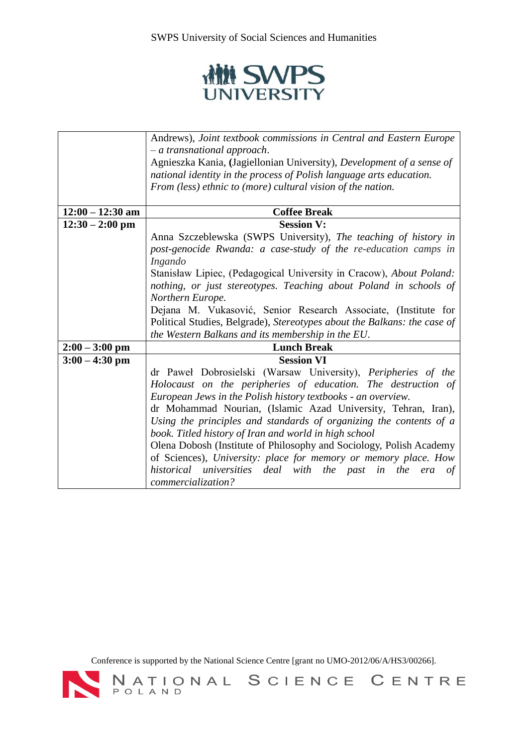

|                    | Andrews), Joint textbook commissions in Central and Eastern Europe                                                                                                                                                                            |
|--------------------|-----------------------------------------------------------------------------------------------------------------------------------------------------------------------------------------------------------------------------------------------|
|                    | $-$ a transnational approach.                                                                                                                                                                                                                 |
|                    | Agnieszka Kania, (Jagiellonian University), Development of a sense of                                                                                                                                                                         |
|                    | national identity in the process of Polish language arts education.                                                                                                                                                                           |
|                    | From (less) ethnic to (more) cultural vision of the nation.                                                                                                                                                                                   |
|                    |                                                                                                                                                                                                                                               |
| $12:00 - 12:30$ am | <b>Coffee Break</b>                                                                                                                                                                                                                           |
| $12:30 - 2:00$ pm  | <b>Session V:</b>                                                                                                                                                                                                                             |
|                    | Anna Szczeblewska (SWPS University), The teaching of history in                                                                                                                                                                               |
|                    | post-genocide Rwanda: a case-study of the re-education camps in                                                                                                                                                                               |
|                    | Ingando                                                                                                                                                                                                                                       |
|                    | Stanisław Lipiec, (Pedagogical University in Cracow), About Poland:                                                                                                                                                                           |
|                    | nothing, or just stereotypes. Teaching about Poland in schools of                                                                                                                                                                             |
|                    | Northern Europe.                                                                                                                                                                                                                              |
|                    | Dejana M. Vukasović, Senior Research Associate, (Institute for                                                                                                                                                                                |
|                    | Political Studies, Belgrade), Stereotypes about the Balkans: the case of                                                                                                                                                                      |
|                    | the Western Balkans and its membership in the EU.                                                                                                                                                                                             |
| $2:00 - 3:00$ pm   | <b>Lunch Break</b>                                                                                                                                                                                                                            |
| $3:00 - 4:30$ pm   | <b>Session VI</b>                                                                                                                                                                                                                             |
|                    | dr Paweł Dobrosielski (Warsaw University), Peripheries of the                                                                                                                                                                                 |
|                    | Holocaust on the peripheries of education. The destruction of                                                                                                                                                                                 |
|                    | European Jews in the Polish history textbooks - an overview.                                                                                                                                                                                  |
|                    | dr Mohammad Nourian, (Islamic Azad University, Tehran, Iran),                                                                                                                                                                                 |
|                    | Using the principles and standards of organizing the contents of a                                                                                                                                                                            |
|                    |                                                                                                                                                                                                                                               |
|                    |                                                                                                                                                                                                                                               |
|                    |                                                                                                                                                                                                                                               |
|                    | in the era<br>of                                                                                                                                                                                                                              |
|                    | commercialization?                                                                                                                                                                                                                            |
|                    | book. Titled history of Iran and world in high school<br>Olena Dobosh (Institute of Philosophy and Sociology, Polish Academy<br>of Sciences), University: place for memory or memory place. How<br>historical universities deal with the past |

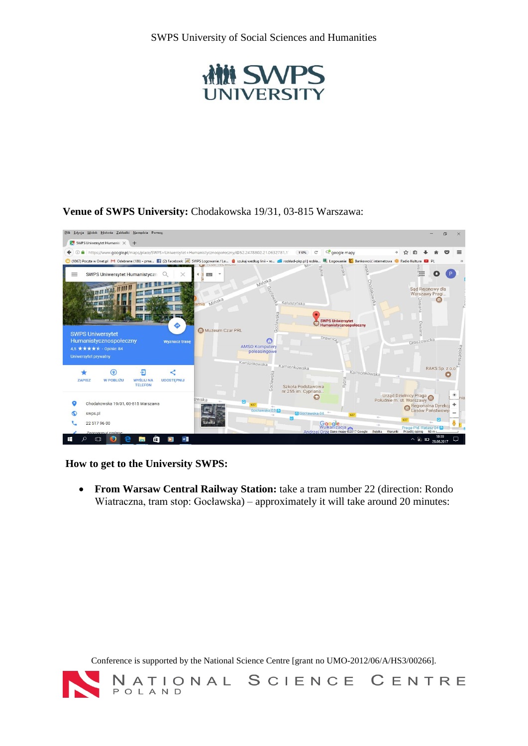

## **Venue of SWPS University:** Chodakowska 19/31, 03-815 Warszawa:



**How to get to the University SWPS:**

 **From Warsaw Central Railway Station:** take a tram number 22 (direction: Rondo Wiatraczna, tram stop: Gocławska) – approximately it will take around 20 minutes:

Conference is supported by the National Science Centre [grant no UMO-2012/06/A/HS3/00266].

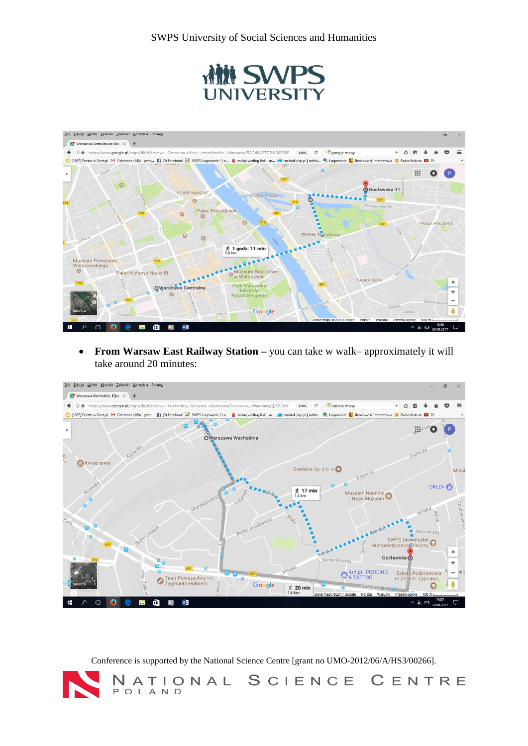



 **From Warsaw East Railway Station –** you can take w walk– approximately it will take around 20 minutes:



Conference is supported by the National Science Centre [grant no UMO-2012/06/A/HS3/00266].